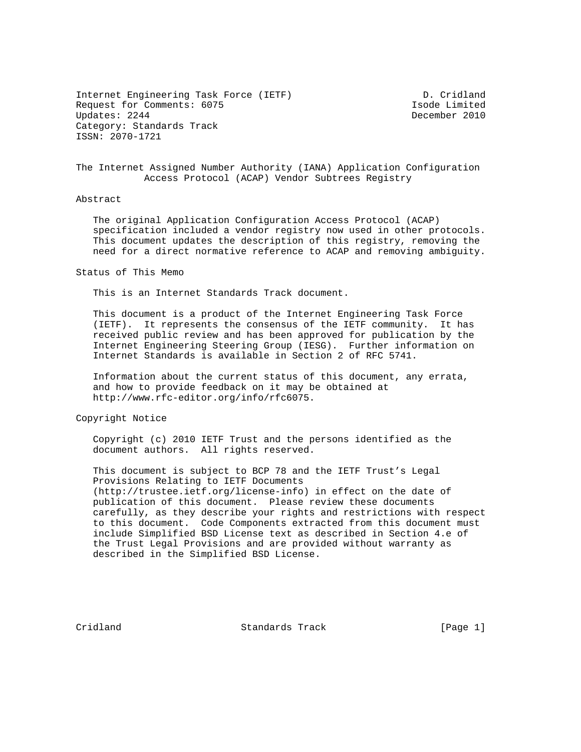Internet Engineering Task Force (IETF) D. Cridland Request for Comments: 6075 Isode Limited Category: Standards Track ISSN: 2070-1721

December 2010

The Internet Assigned Number Authority (IANA) Application Configuration Access Protocol (ACAP) Vendor Subtrees Registry

### Abstract

 The original Application Configuration Access Protocol (ACAP) specification included a vendor registry now used in other protocols. This document updates the description of this registry, removing the need for a direct normative reference to ACAP and removing ambiguity.

Status of This Memo

This is an Internet Standards Track document.

 This document is a product of the Internet Engineering Task Force (IETF). It represents the consensus of the IETF community. It has received public review and has been approved for publication by the Internet Engineering Steering Group (IESG). Further information on Internet Standards is available in Section 2 of RFC 5741.

 Information about the current status of this document, any errata, and how to provide feedback on it may be obtained at http://www.rfc-editor.org/info/rfc6075.

Copyright Notice

 Copyright (c) 2010 IETF Trust and the persons identified as the document authors. All rights reserved.

 This document is subject to BCP 78 and the IETF Trust's Legal Provisions Relating to IETF Documents (http://trustee.ietf.org/license-info) in effect on the date of publication of this document. Please review these documents carefully, as they describe your rights and restrictions with respect to this document. Code Components extracted from this document must include Simplified BSD License text as described in Section 4.e of the Trust Legal Provisions and are provided without warranty as described in the Simplified BSD License.

Cridland Standards Track [Page 1]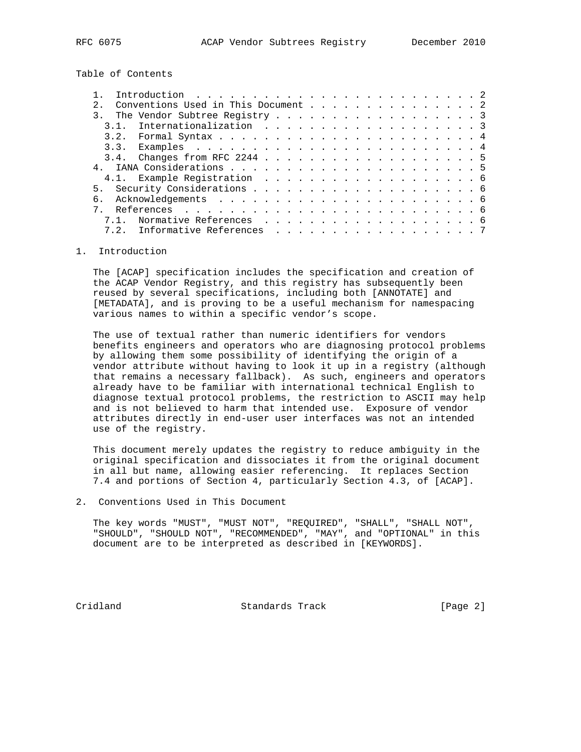Table of Contents

|      | Introduction $\ldots \ldots \ldots \ldots \ldots \ldots \ldots \ldots \ldots$ |  |  |  |  |  |  |  |  |
|------|-------------------------------------------------------------------------------|--|--|--|--|--|--|--|--|
|      | Conventions Used in This Document 2                                           |  |  |  |  |  |  |  |  |
|      | The Vendor Subtree Registry 3                                                 |  |  |  |  |  |  |  |  |
| 3.1. | Internationalization 3                                                        |  |  |  |  |  |  |  |  |
|      |                                                                               |  |  |  |  |  |  |  |  |
|      |                                                                               |  |  |  |  |  |  |  |  |
|      |                                                                               |  |  |  |  |  |  |  |  |
|      |                                                                               |  |  |  |  |  |  |  |  |
|      |                                                                               |  |  |  |  |  |  |  |  |
|      |                                                                               |  |  |  |  |  |  |  |  |
|      |                                                                               |  |  |  |  |  |  |  |  |
|      |                                                                               |  |  |  |  |  |  |  |  |
|      | 7.1. Normative References 6                                                   |  |  |  |  |  |  |  |  |
|      | Informative References 7<br>7.2.                                              |  |  |  |  |  |  |  |  |
|      |                                                                               |  |  |  |  |  |  |  |  |

### 1. Introduction

 The [ACAP] specification includes the specification and creation of the ACAP Vendor Registry, and this registry has subsequently been reused by several specifications, including both [ANNOTATE] and [METADATA], and is proving to be a useful mechanism for namespacing various names to within a specific vendor's scope.

 The use of textual rather than numeric identifiers for vendors benefits engineers and operators who are diagnosing protocol problems by allowing them some possibility of identifying the origin of a vendor attribute without having to look it up in a registry (although that remains a necessary fallback). As such, engineers and operators already have to be familiar with international technical English to diagnose textual protocol problems, the restriction to ASCII may help and is not believed to harm that intended use. Exposure of vendor attributes directly in end-user user interfaces was not an intended use of the registry.

 This document merely updates the registry to reduce ambiguity in the original specification and dissociates it from the original document in all but name, allowing easier referencing. It replaces Section 7.4 and portions of Section 4, particularly Section 4.3, of [ACAP].

2. Conventions Used in This Document

 The key words "MUST", "MUST NOT", "REQUIRED", "SHALL", "SHALL NOT", "SHOULD", "SHOULD NOT", "RECOMMENDED", "MAY", and "OPTIONAL" in this document are to be interpreted as described in [KEYWORDS].

Cridland Standards Track [Page 2]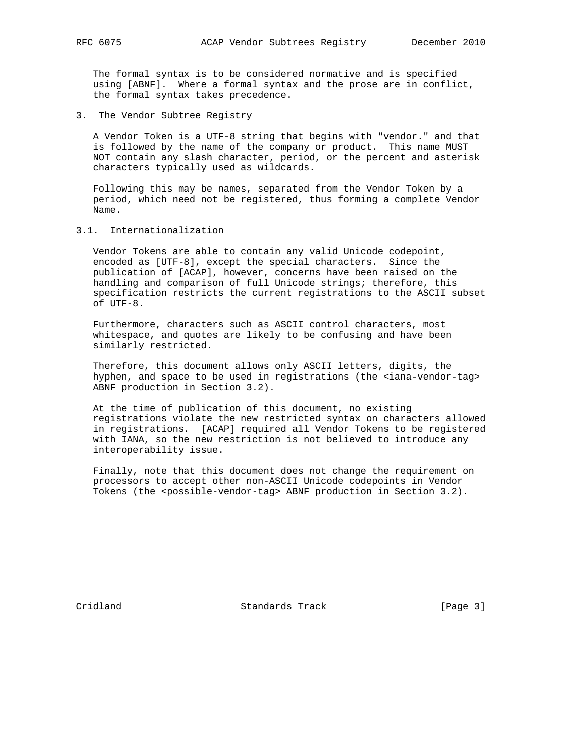The formal syntax is to be considered normative and is specified using [ABNF]. Where a formal syntax and the prose are in conflict, the formal syntax takes precedence.

3. The Vendor Subtree Registry

 A Vendor Token is a UTF-8 string that begins with "vendor." and that is followed by the name of the company or product. This name MUST NOT contain any slash character, period, or the percent and asterisk characters typically used as wildcards.

 Following this may be names, separated from the Vendor Token by a period, which need not be registered, thus forming a complete Vendor Name.

3.1. Internationalization

 Vendor Tokens are able to contain any valid Unicode codepoint, encoded as [UTF-8], except the special characters. Since the publication of [ACAP], however, concerns have been raised on the handling and comparison of full Unicode strings; therefore, this specification restricts the current registrations to the ASCII subset of UTF-8.

 Furthermore, characters such as ASCII control characters, most whitespace, and quotes are likely to be confusing and have been similarly restricted.

 Therefore, this document allows only ASCII letters, digits, the hyphen, and space to be used in registrations (the <iana-vendor-tag> ABNF production in Section 3.2).

 At the time of publication of this document, no existing registrations violate the new restricted syntax on characters allowed in registrations. [ACAP] required all Vendor Tokens to be registered with IANA, so the new restriction is not believed to introduce any interoperability issue.

 Finally, note that this document does not change the requirement on processors to accept other non-ASCII Unicode codepoints in Vendor Tokens (the <possible-vendor-tag> ABNF production in Section 3.2).

Cridland Standards Track [Page 3]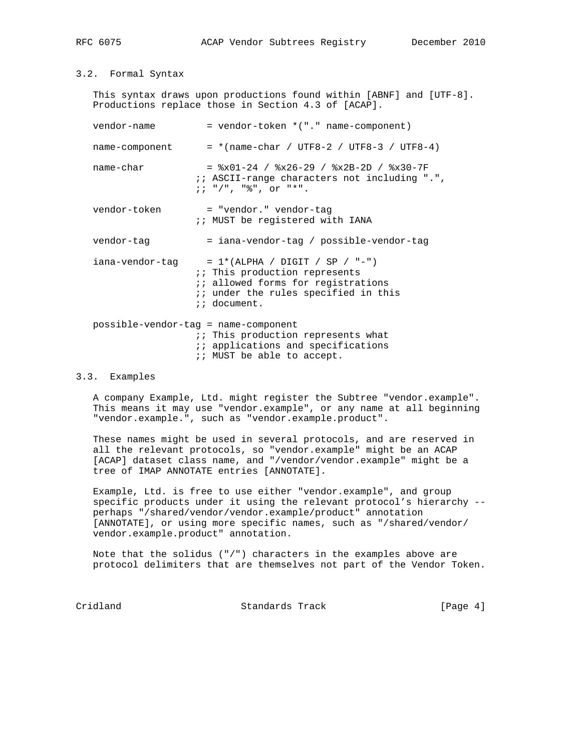## 3.2. Formal Syntax

 This syntax draws upon productions found within [ABNF] and [UTF-8]. Productions replace those in Section 4.3 of [ACAP].

| vendor-name     | = vendor-token *("." name-component)                                                                                                                                                 |  |  |  |  |  |  |
|-----------------|--------------------------------------------------------------------------------------------------------------------------------------------------------------------------------------|--|--|--|--|--|--|
| name-component  | $=$ *(name-char / UTF8-2 / UTF8-3 / UTF8-4)                                                                                                                                          |  |  |  |  |  |  |
| name-char       | $=$ $x01-24$ / $8x26-29$ / $8x2B-2D$ / $8x30-7F$<br><i>ii</i> ASCII-range characters not including ".",<br>$i : " / " , "$ ; ", or "*".                                              |  |  |  |  |  |  |
| vendor-token    | = "vendor." vendor-tag<br>:: MUST be registered with IANA                                                                                                                            |  |  |  |  |  |  |
| vendor-tag      | = iana-vendor-tag / possible-vendor-tag                                                                                                                                              |  |  |  |  |  |  |
| iana-vendor-taq | $= 1*(ALPHA / DIGIT / SP / "-")$<br>:: This production represents<br><i>ii</i> allowed forms for registrations<br><i>i</i> iunder the rules specified in this<br><i>ii</i> document. |  |  |  |  |  |  |
|                 | possible-vendor-tag = name-component<br>:: This production represents what<br><i>ii</i> applications and specifications<br>:: MUST be able to accept.                                |  |  |  |  |  |  |

### 3.3. Examples

 A company Example, Ltd. might register the Subtree "vendor.example". This means it may use "vendor.example", or any name at all beginning "vendor.example.", such as "vendor.example.product".

 These names might be used in several protocols, and are reserved in all the relevant protocols, so "vendor.example" might be an ACAP [ACAP] dataset class name, and "/vendor/vendor.example" might be a tree of IMAP ANNOTATE entries [ANNOTATE].

 Example, Ltd. is free to use either "vendor.example", and group specific products under it using the relevant protocol's hierarchy - perhaps "/shared/vendor/vendor.example/product" annotation [ANNOTATE], or using more specific names, such as "/shared/vendor/ vendor.example.product" annotation.

 Note that the solidus ("/") characters in the examples above are protocol delimiters that are themselves not part of the Vendor Token.

Cridland Standards Track [Page 4]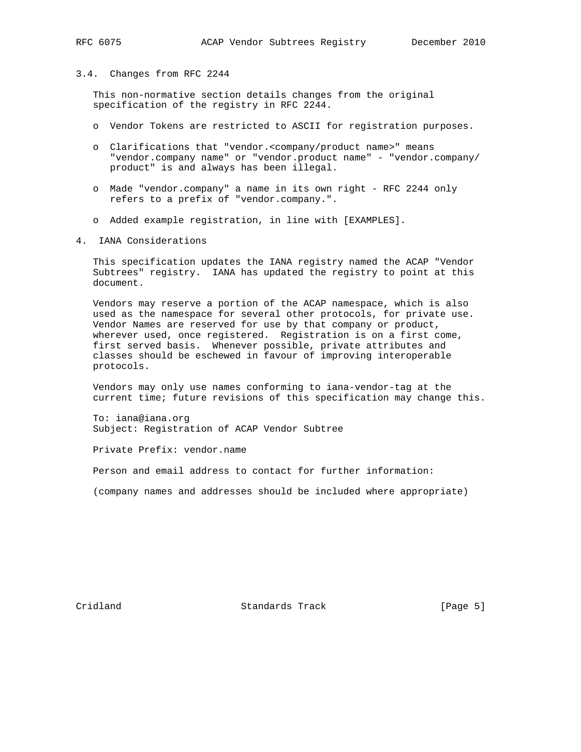#### 3.4. Changes from RFC 2244

 This non-normative section details changes from the original specification of the registry in RFC 2244.

- o Vendor Tokens are restricted to ASCII for registration purposes.
- o Clarifications that "vendor.<company/product name>" means "vendor.company name" or "vendor.product name" - "vendor.company/ product" is and always has been illegal.
- o Made "vendor.company" a name in its own right RFC 2244 only refers to a prefix of "vendor.company.".
- o Added example registration, in line with [EXAMPLES].
- 4. IANA Considerations

 This specification updates the IANA registry named the ACAP "Vendor Subtrees" registry. IANA has updated the registry to point at this document.

 Vendors may reserve a portion of the ACAP namespace, which is also used as the namespace for several other protocols, for private use. Vendor Names are reserved for use by that company or product, wherever used, once registered. Registration is on a first come, first served basis. Whenever possible, private attributes and classes should be eschewed in favour of improving interoperable protocols.

 Vendors may only use names conforming to iana-vendor-tag at the current time; future revisions of this specification may change this.

 To: iana@iana.org Subject: Registration of ACAP Vendor Subtree

Private Prefix: vendor.name

Person and email address to contact for further information:

(company names and addresses should be included where appropriate)

Cridland Standards Track [Page 5]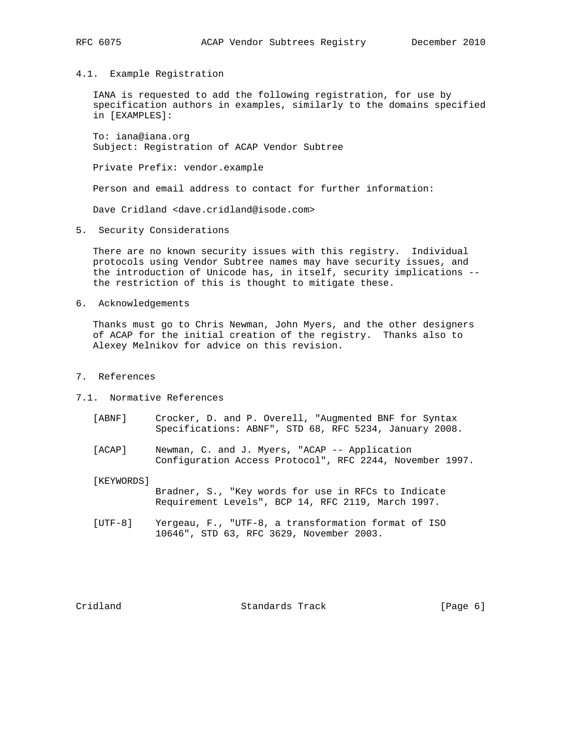4.1. Example Registration

 IANA is requested to add the following registration, for use by specification authors in examples, similarly to the domains specified in [EXAMPLES]:

 To: iana@iana.org Subject: Registration of ACAP Vendor Subtree

Private Prefix: vendor.example

Person and email address to contact for further information:

Dave Cridland <dave.cridland@isode.com>

5. Security Considerations

 There are no known security issues with this registry. Individual protocols using Vendor Subtree names may have security issues, and the introduction of Unicode has, in itself, security implications - the restriction of this is thought to mitigate these.

6. Acknowledgements

 Thanks must go to Chris Newman, John Myers, and the other designers of ACAP for the initial creation of the registry. Thanks also to Alexey Melnikov for advice on this revision.

- 7. References
- 7.1. Normative References
	- [ABNF] Crocker, D. and P. Overell, "Augmented BNF for Syntax Specifications: ABNF", STD 68, RFC 5234, January 2008.
	- [ACAP] Newman, C. and J. Myers, "ACAP -- Application Configuration Access Protocol", RFC 2244, November 1997.

[KEYWORDS]

 Bradner, S., "Key words for use in RFCs to Indicate Requirement Levels", BCP 14, RFC 2119, March 1997.

 [UTF-8] Yergeau, F., "UTF-8, a transformation format of ISO 10646", STD 63, RFC 3629, November 2003.

Cridland **Standards Track** [Page 6]